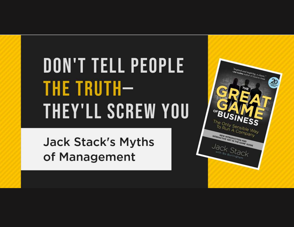## DON'T TELL PEOPLE **THE TRUTH-THEY'LL SCREW YOU**

**Jack Stack's Myths** of Management

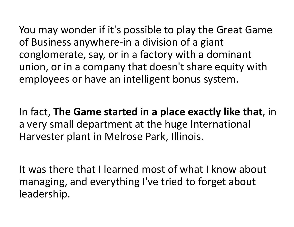You may wonder if it's possible to play the Great Game of Business anywhere-in a division of a giant conglomerate, say, or in a factory with a dominant union, or in a company that doesn't share equity with employees or have an intelligent bonus system.

In fact, The Game started in a place exactly like that, in a very small department at the huge International Harvester plant in Melrose Park, Illinois.

It was there that I learned most of what I know about managing, and everything I've tried to forget about leadership.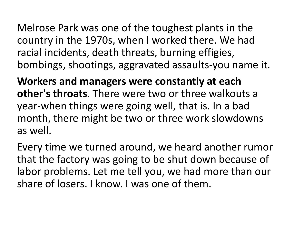Melrose Park was one of the toughest plants in the country in the 1970s, when I worked there. We had racial incidents, death threats, burning effigies, bombings, shootings, aggravated assaults-you name it.

Workers and managers were constantly at each other's throats. There were two or three walkouts a Melrose Park was one of the toughest plants in the<br>country in the 1970s, when I worked there. We had<br>racial incidents, death threats, burning effigies,<br>bombings, shootings, aggravated assaults-you name it.<br>**Workers and man** month, there might be two or three work slowdowns as well.

Every time we turned around, we heard another rumor that the factory was going to be shut down because of labor problems. Let me tell you, we had more than our share of losers. I know. I was one of them.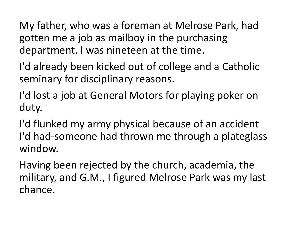My father, who was a foreman at Melrose Park, had My father, who was a foreman at Melrose Park, had<br>gotten me a job as mailboy in the purchasing<br>department. I was nineteen at the time.<br>I'd already been kicked out of college and a Catholic department. I was nineteen at the time.

I'd already been kicked out of college and a Catholic seminary for disciplinary reasons.

I'd lost a job at General Motors for playing poker on duty.

I'd flunked my army physical because of an accident I'd had-someone had thrown me through a plateglass window.

Having been rejected by the church, academia, the military, and G.M., I figured Melrose Park was my last chance.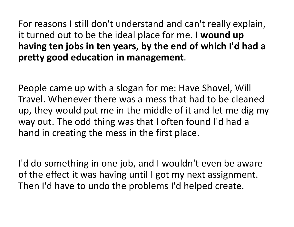For reasons I still don't understand and can't really explain, it turned out to be the ideal place for me. I wound up having ten jobs in ten years, by the end of which I'd had a

pretty good education in management.<br>People came up with a slogan for me: Have Shovel, Will Travel. Whenever there was a mess that had to be cleaned up, they would put me in the middle of it and let me dig my way out. The odd thing was that I often found I'd had a hand in creating the mess in the first place.

I'd do something in one job, and I wouldn't even be aware of the effect it was having until I got my next assignment. Then I'd have to undo the problems I'd helped create.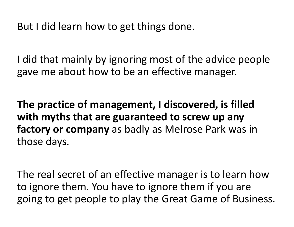But I did learn how to get things done.

I did that mainly by ignoring most of the advice people gave me about how to be an effective manager.

The practice of management, I discovered, is filled with myths that are guaranteed to screw up any factory or company as badly as Melrose Park was in those days.

The real secret of an effective manager is to learn how to ignore them. You have to ignore them if you are going to get people to play the Great Game of Business.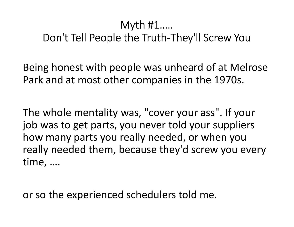## Myth #1….. Don't Tell People the Truth-They'll Screw You

Being honest with people was unheard of at Melrose Park and at most other companies in the 1970s.

The whole mentality was, "cover your ass". If your job was to get parts, you never told your suppliers how many parts you really needed, or when you really needed them, because they'd screw you every time, ….

or so the experienced schedulers told me.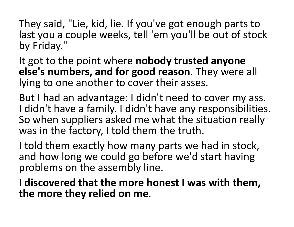They said, "Lie, kid, lie. If you've got enough parts to<br>last you a couple weeks, tell 'em you'll be out of stock They said, "Lie, kid, lie. If you've got enough parts to<br>last you a couple weeks, tell 'em you'll be out of stock<br>by Friday."<br>It got to the point where **nobody trusted anyone** by Friday."

It got to the point where nobody trusted anyone else's numbers, and for good reason. They were all lying to one another to cover their asses.

But I had an advantage: I didn't need to cover my ass. I didn't have a family. I didn't have any responsibilities. So when suppliers asked me what the situation really was in the factory, I told them the truth.

I told them exactly how many parts we had in stock, and how long we could go before we'd start having problems on the assembly line.

I discovered that the more honest I was with them, the more they relied on me.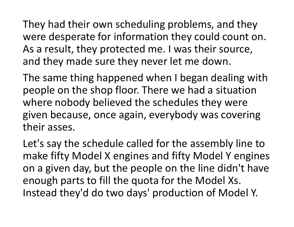They had their own scheduling problems, and they were desperate for information they could count on. As a result, they protected me. I was their source, and they made sure they never let me down.

The same thing happened when I began dealing with people on the shop floor. There we had a situation where nobody believed the schedules they were given because, once again, everybody was covering their asses.

Let's say the schedule called for the assembly line to make fifty Model X engines and fifty Model Y engines on a given day, but the people on the line didn't have enough parts to fill the quota for the Model Xs. Instead they'd do two days' production of Model Y.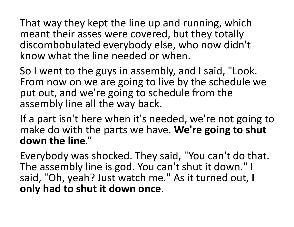That way they kept the line up and running, which meant their asses were covered, but they totally discombobulated everybody else, who now didn't know what the line needed or when.

So I went to the guys in assembly, and I said, "Look. From now on we are going to live by the schedule we put out, and we're going to schedule from the assembly line all the way back.

If a part isn't here when it's needed, we're not going to make do with the parts we have. We're going to shut down the line."

Everybody was shocked. They said, "You can't do that. The assembly line is god. You can't shut it down." I said, "Oh, yeah? Just watch me." As it turned out, I only had to shut it down once.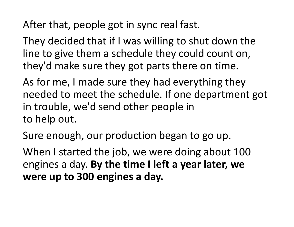After that, people got in sync real fast.

They decided that if I was willing to shut down the line to give them a schedule they could count on, they'd make sure they got parts there on time.

As for me, I made sure they had everything they needed to meet the schedule. If one department got in trouble, we'd send other people in to help out.

Sure enough, our production began to go up.

When I started the job, we were doing about 100 engines a day. By the time I left a year later, we were up to 300 engines a day.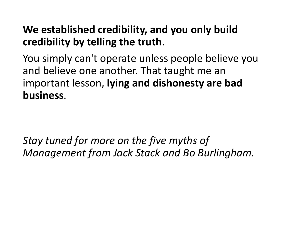## We established credibility, and you only build

credibility by telling the truth. You simply can't operate unless people believe you and believe one another. That taught me an important lesson, lying and dishonesty are bad business. You simply can't operate unless people believe you<br>and believe one another. That taught me an<br>important lesson, **lying and dishonesty are bad<br>business**.<br>Stay tuned for more on the five myths of<br>Management from Jack Stack a

Management from Jack Stack and Bo Burlingham.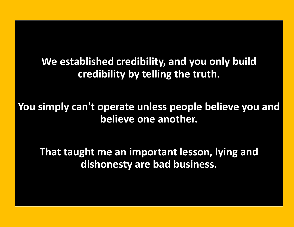We established credibility, and you only build credibility by telling the truth.

You simply can't operate unless people believe you and believe one another. We established credibility, and you only build<br>credibility by telling the truth.<br>simply can't operate unless people believe you and<br>believe one another.<br>That taught me an important lesson, lying and<br>dishonesty are bad busi

dishonesty are bad business.